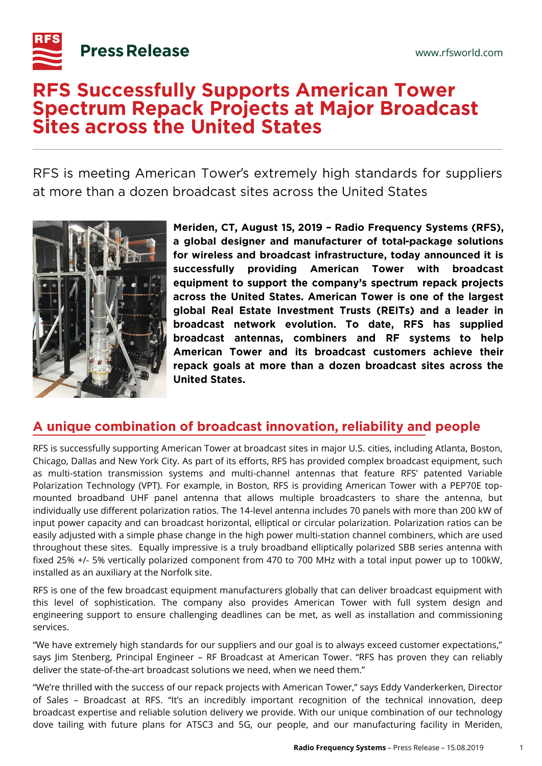

# **RFS Successfully Supports American Tower Spectrum Repack Projects at Major Broadcast Sites across the United States**

RFS is meeting American Tower's extremely high standards for suppliers ' at more than a dozen broadcast sites across the United States



Meriden, CT, August 15, 2019 - Radio Frequency Systems (RFS), a global designer and manufacturer of total-package solutions for wireless and broadcast infrastructure, today announced it is successfully providing American **Tower** with broadcast equipment to support the company's spectrum repack projects across the United States. American Tower is one of the largest global Real Estate Investment Trusts (REITs) and a leader in broadcast network evolution. To date, RFS has supplied broadcast antennas, combiners and RF systems to help American Tower and its broadcast customers achieve their repack goals at more than a dozen broadcast sites across the **United States.** 

# A unique combination of broadcast innovation, reliability and people

RFS is successfully supporting American Tower at broadcast sites in major U.S. cities, including Atlanta, Boston, Chicago, Dallas and New York City. As part of its efforts, RFS has provided complex broadcast equipment, such as multi-station transmission systems and multi-channel antennas that feature RFS' patented Variable Polarization Technology (VPT). For example, in Boston, RFS is providing American Tower with a PEP70E topmounted broadband UHF panel antenna that allows multiple broadcasters to share the antenna, but individually use different polarization ratios. The 14-level antenna includes 70 panels with more than 200 kW of input power capacity and can broadcast horizontal, elliptical or circular polarization. Polarization ratios can be easily adjusted with a simple phase change in the high power multi-station channel combiners, which are used throughout these sites. Equally impressive is a truly broadband elliptically polarized SBB series antenna with fixed 25% +/- 5% vertically polarized component from 470 to 700 MHz with a total input power up to 100kW, installed as an auxiliary at the Norfolk site.

RFS is one of the few broadcast equipment manufacturers globally that can deliver broadcast equipment with this level of sophistication. The company also provides American Tower with full system design and engineering support to ensure challenging deadlines can be met, as well as installation and commissioning services.

"We have extremely high standards for our suppliers and our goal is to always exceed customer expectations," says Jim Stenberg, Principal Engineer – RF Broadcast at American Tower. "RFS has proven they can reliably deliver the state-of-the-art broadcast solutions we need, when we need them."

"We're thrilled with the success of our repack projects with American Tower," says Eddy Vanderkerken, Director of Sales – Broadcast at RFS. "It's an incredibly important recognition of the technical innovation, deep broadcast expertise and reliable solution delivery we provide. With our unique combination of our technology dove tailing with future plans for ATSC3 and 5G, our people, and our manufacturing facility in Meriden,